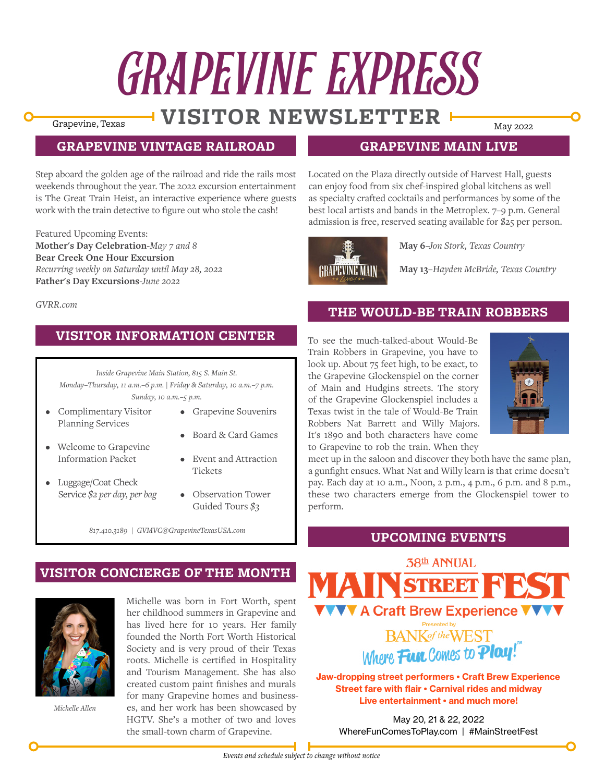# GRAPEVINE EXPRESS

# Grapevine, Texas **WISITOR NEWSLETTER**

# **GRAPEVINE VINTAGE RAILROAD**

Step aboard the golden age of the railroad and ride the rails most weekends throughout the year. The 2022 excursion entertainment is The Great Train Heist, an interactive experience where guests work with the train detective to figure out who stole the cash!

Featured Upcoming Events: **Mother's Day Celebration***-May 7 and 8* **Bear Creek One Hour Excursion** *Recurring weekly on Saturday until May 28, 2022* **Father's Day Excursions***-June 2022*

#### **GRAPEVINE MAIN LIVE**

Located on the Plaza directly outside of Harvest Hall, guests can enjoy food from six chef-inspired global kitchens as well as specialty crafted cocktails and performances by some of the best local artists and bands in the Metroplex. 7–9 p.m. General admission is free, reserved seating available for \$25 per person.



**May 6***–Jon Stork, Texas Country*

**May 13***–Hayden McBride, Texas Country*

#### *GVRR.com*

# **VISITOR INFORMATION CENTER**

*Inside Grapevine Main Station, 815 S. Main St. Monday–Thursday, 11 a.m.–6 p.m. | Friday & Saturday, 10 a.m.–7 p.m. Sunday, 10 a.m.–5 p.m.*

• Complimentary Visitor Planning Services

Information Packet

- Grapevine Souvenirs
- Welcome to Grapevine • Board & Card Games
	- Event and Attraction Tickets
- Luggage/Coat Check Service *\$2 per day, per bag*
- Observation Tower Guided Tours *\$3*

*817.410.3189 | GVMVC@GrapevineTexasUSA.com*

# **VISITOR CONCIERGE OF THE MONTH**



*Michelle Allen*

Michelle was born in Fort Worth, spent her childhood summers in Grapevine and has lived here for 10 years. Her family founded the North Fort Worth Historical Society and is very proud of their Texas roots. Michelle is certified in Hospitality and Tourism Management. She has also created custom paint finishes and murals for many Grapevine homes and businesses, and her work has been showcased by HGTV. She's a mother of two and loves the small-town charm of Grapevine.

#### Train Robbers in Grapevine, you have to look up. About 75 feet high, to be exact, to

**THE WOULD-BE TRAIN ROBBERS**

the Grapevine Glockenspiel on the corner of Main and Hudgins streets. The story of the Grapevine Glockenspiel includes a Texas twist in the tale of Would-Be Train Robbers Nat Barrett and Willy Majors. It's 1890 and both characters have come to Grapevine to rob the train. When they

To see the much-talked-about Would-Be



meet up in the saloon and discover they both have the same plan, a gunfight ensues. What Nat and Willy learn is that crime doesn't pay. Each day at 10 a.m., Noon, 2 p.m., 4 p.m., 6 p.m. and 8 p.m., these two characters emerge from the Glockenspiel tower to perform.

#### **UPCOMING EVENTS**



Jaw-dropping street performers • Craft Brew Experience Street fare with flair • Carnival rides and midway Live entertainment • and much more!

May 20, 21 & 22, 2022 WhereFunComesToPlay.com | #MainStreetFest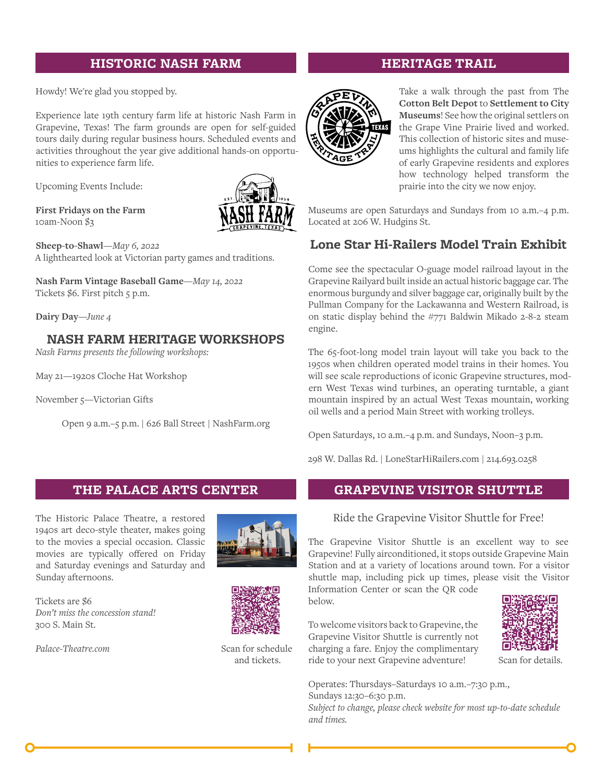#### **HISTORIC NASH FARM**

Howdy! We're glad you stopped by.

Experience late 19th century farm life at historic Nash Farm in Grapevine, Texas! The farm grounds are open for self-guided tours daily during regular business hours. Scheduled events and activities throughout the year give additional hands-on opportunities to experience farm life.

Upcoming Events Include:

**First Fridays on the Farm** 10am-Noon \$3



**Sheep-to-Shawl***—May 6, 2022* A lighthearted look at Victorian party games and traditions.

**Nash Farm Vintage Baseball Game***—May 14, 2022* Tickets \$6. First pitch 5 p.m.

**Dairy Day***—June 4*

# **NASH FARM HERITAGE WORKSHOPS**

*Nash Farms presents the following workshops:*

May 21—1920s Cloche Hat Workshop

November 5—Victorian Gifts

Open 9 a.m.–5 p.m. | 626 Ball Street | NashFarm.org

#### **THE PALACE ARTS CENTER**

The Historic Palace Theatre, a restored 1940s art deco-style theater, makes going to the movies a special occasion. Classic movies are typically offered on Friday and Saturday evenings and Saturday and Sunday afternoons.



Tickets are \$6 *Don't miss the concession stand!* 300 S. Main St.

*[Palace-Theatre.com](http://Palace-Theatre.com)*



Scan for schedule and tickets.

# **HERITAGE TRAIL**



**<sup>H</sup><sup>E</sup> �ITAG<sup>E</sup> <sup>T</sup>�A<sup>I</sup><sup>L</sup>**

Take a walk through the past from The **Cotton Belt Depot** to **Settlement to City Museums**! See how the original settlers on the Grape Vine Prairie lived and worked. This collection of historic sites and museums highlights the cultural and family life of early Grapevine residents and explores how technology helped transform the prairie into the city we now enjoy.

Museums are open Saturdays and Sundays from 10 a.m.–4 p.m. Located at 206 W. Hudgins St.

# **Lone Star Hi-Railers Model Train Exhibit**

Come see the spectacular O-guage model railroad layout in the Grapevine Railyard built inside an actual historic baggage car. The enormous burgundy and silver baggage car, originally built by the Pullman Company for the Lackawanna and Western Railroad, is on static display behind the #771 Baldwin Mikado 2-8-2 steam engine.

The 65-foot-long model train layout will take you back to the 1950s when children operated model trains in their homes. You will see scale reproductions of iconic Grapevine structures, modern West Texas wind turbines, an operating turntable, a giant mountain inspired by an actual West Texas mountain, working oil wells and a period Main Street with working trolleys.

Open Saturdays, 10 a.m.–4 p.m. and Sundays, Noon–3 p.m.

298 W. Dallas Rd. | LoneStarHiRailers.com | 214.693.0258

# **GRAPEVINE VISITOR SHUTTLE**

Ride the Grapevine Visitor Shuttle for Free!

The Grapevine Visitor Shuttle is an excellent way to see Grapevine! Fully airconditioned, it stops outside Grapevine Main Station and at a variety of locations around town. For a visitor shuttle map, including pick up times, please visit the Visitor

Information Center or scan the QR code below.

To welcome visitors back to Grapevine, the Grapevine Visitor Shuttle is currently not charging a fare. Enjoy the complimentary ride to your next Grapevine adventure!



Scan for details.

Operates: Thursdays–Saturdays 10 a.m.–7:30 p.m., Sundays 12:30–6:30 p.m. *Subject to change, please check website for most up-to-date schedule and times.*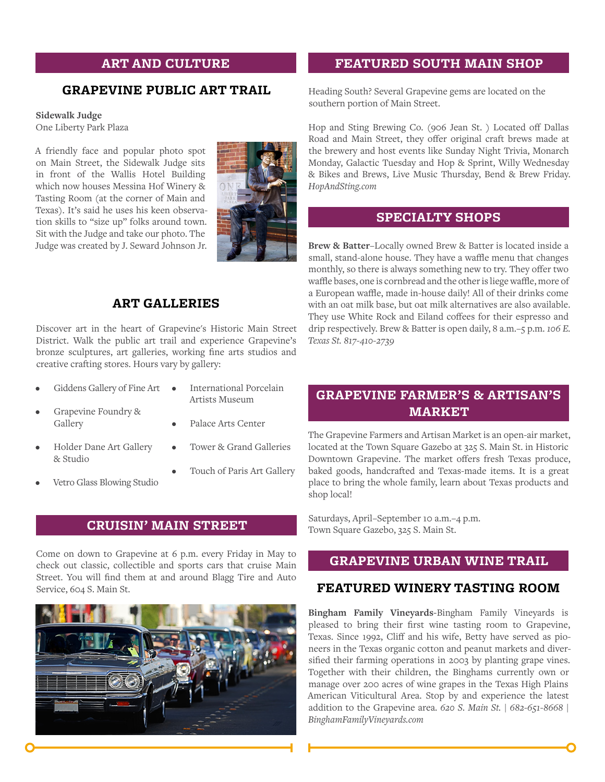#### **ART AND CULTURE**

#### **GRAPEVINE PUBLIC ART TRAIL**

#### **Sidewalk Judge**

One Liberty Park Plaza

A friendly face and popular photo spot on Main Street, the Sidewalk Judge sits in front of the Wallis Hotel Building which now houses Messina Hof Winery & Tasting Room (at the corner of Main and Texas). It's said he uses his keen observation skills to "size up" folks around town. Sit with the Judge and take our photo. The Judge was created by J. Seward Johnson Jr.



# **ART GALLERIES**

Discover art in the heart of Grapevine's Historic Main Street District. Walk the public art trail and experience Grapevine's bronze sculptures, art galleries, working fine arts studios and creative crafting stores. Hours vary by gallery:

- Giddens Gallery of Fine Art  $\bullet$
- International Porcelain Artists Museum
- Grapevine Foundry & Gallery
- Palace Arts Center
- Holder Dane Art Gallery & Studio
- Vetro Glass Blowing Studio
- 
- Tower & Grand Galleries
- Touch of Paris Art Gallery

#### **CRUISIN' MAIN STREET**

Come on down to Grapevine at 6 p.m. every Friday in May to check out classic, collectible and sports cars that cruise Main Street. You will find them at and around Blagg Tire and Auto Service, 604 S. Main St.



#### **FEATURED SOUTH MAIN SHOP**

Heading South? Several Grapevine gems are located on the southern portion of Main Street.

Hop and Sting Brewing Co. (906 Jean St. ) Located off Dallas Road and Main Street, they offer original craft brews made at the brewery and host events like Sunday Night Trivia, Monarch Monday, Galactic Tuesday and Hop & Sprint, Willy Wednesday & Bikes and Brews, Live Music Thursday, Bend & Brew Friday. *HopAndSting.com*

#### **SPECIALTY SHOPS**

**Brew & Batter**–Locally owned Brew & Batter is located inside a small, stand-alone house. They have a waffle menu that changes monthly, so there is always something new to try. They offer two waffle bases, one is cornbread and the other is liege waffle, more of a European waffle, made in-house daily! All of their drinks come with an oat milk base, but oat milk alternatives are also available. They use White Rock and Eiland coffees for their espresso and drip respectively. Brew & Batter is open daily, 8 a.m.–5 p.m. *106 E. Texas St. 817-410-2739*

# **GRAPEVINE FARMER'S & ARTISAN'S MARKET**

The Grapevine Farmers and Artisan Market is an open-air market, located at the Town Square Gazebo at 325 S. Main St. in Historic Downtown Grapevine. The market offers fresh Texas produce, baked goods, handcrafted and Texas-made items. It is a great place to bring the whole family, learn about Texas products and shop local!

Saturdays, April–September 10 a.m.–4 p.m. Town Square Gazebo, 325 S. Main St.

#### **GRAPEVINE URBAN WINE TRAIL**

#### **FEATURED WINERY TASTING ROOM**

**Bingham Family Vineyards-**Bingham Family Vineyards is pleased to bring their first wine tasting room to Grapevine, Texas. Since 1992, Cliff and his wife, Betty have served as pioneers in the Texas organic cotton and peanut markets and diversified their farming operations in 2003 by planting grape vines. Together with their children, the Binghams currently own or manage over 200 acres of wine grapes in the Texas High Plains American Viticultural Area. Stop by and experience the latest addition to the Grapevine area. *620 S. Main St. | 682-651-8668 | BinghamFamilyVineyards.com*